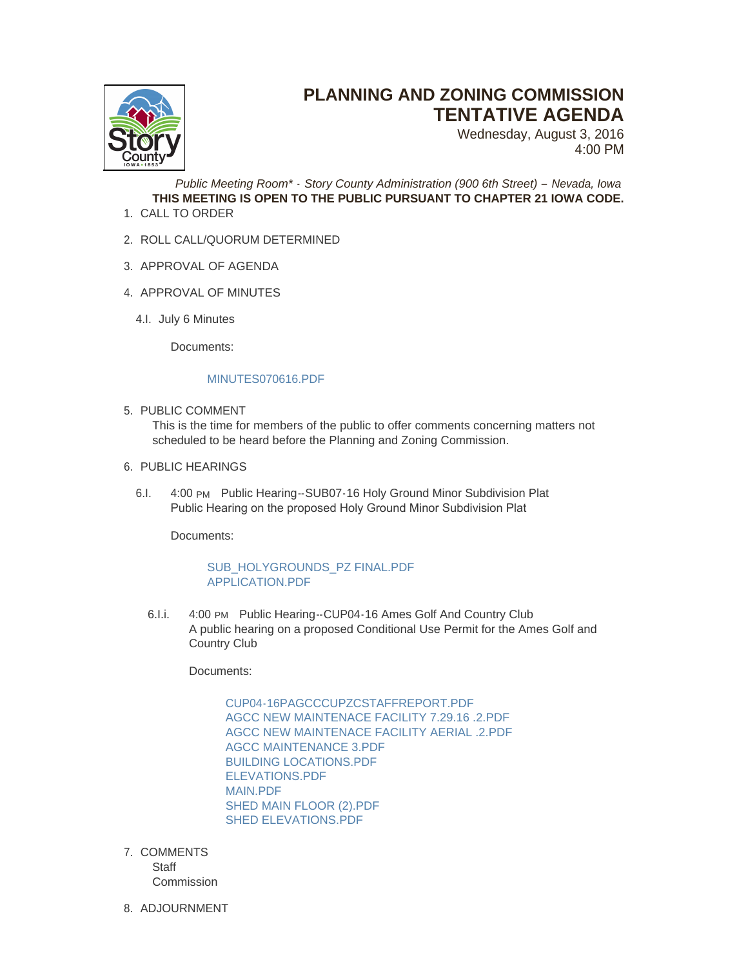

## **PLANNING AND ZONING COMMISSION TENTATIVE AGENDA**

Wednesday, August 3, 2016 4:00 PM

*Public Meeting Room\* - Story County Administration (900 6th Street) – Nevada, Iowa* **THIS MEETING IS OPEN TO THE PUBLIC PURSUANT TO CHAPTER 21 IOWA CODE.**

- 1. CALL TO ORDER
- 2. ROLL CALL/QUORUM DETERMINED
- 3. APPROVAL OF AGENDA
- 4. APPROVAL OF MINUTES
	- 4.I. July 6 Minutes

Documents:

## [MINUTES070616.PDF](http://www.storycountyiowa.gov/AgendaCenter/ViewFile/Item/7459?fileID=5102)

5. PUBLIC COMMENT

This is the time for members of the public to offer comments concerning matters not scheduled to be heard before the Planning and Zoning Commission.

## 6. PUBLIC HEARINGS

6.I. 4:00 PM Public Hearing--SUB07-16 Holy Ground Minor Subdivision Plat Public Hearing on the proposed Holy Ground Minor Subdivision Plat

Documents:

## [SUB\\_HOLYGROUNDS\\_PZ FINAL.PDF](http://www.storycountyiowa.gov/AgendaCenter/ViewFile/Item/7453?fileID=5088) [APPLICATION.PDF](http://www.storycountyiowa.gov/AgendaCenter/ViewFile/Item/7453?fileID=5101)

6.I.i. 4:00 PM Public Hearing--CUP04-16 Ames Golf And Country Club A public hearing on a proposed Conditional Use Permit for the Ames Golf and Country Club

Documents:

[CUP04-16PAGCCCUPZCSTAFFREPORT.PDF](http://www.storycountyiowa.gov/AgendaCenter/ViewFile/Item/7456?fileID=5092) [AGCC NEW MAINTENACE FACILITY 7.29.16 .2.PDF](http://www.storycountyiowa.gov/AgendaCenter/ViewFile/Item/7456?fileID=5093) [AGCC NEW MAINTENACE FACILITY AERIAL .2.PDF](http://www.storycountyiowa.gov/AgendaCenter/ViewFile/Item/7456?fileID=5094) [AGCC MAINTENANCE 3.PDF](http://www.storycountyiowa.gov/AgendaCenter/ViewFile/Item/7456?fileID=5095) [BUILDING LOCATIONS.PDF](http://www.storycountyiowa.gov/AgendaCenter/ViewFile/Item/7456?fileID=5096) [ELEVATIONS.PDF](http://www.storycountyiowa.gov/AgendaCenter/ViewFile/Item/7456?fileID=5097) [MAIN.PDF](http://www.storycountyiowa.gov/AgendaCenter/ViewFile/Item/7456?fileID=5098) [SHED MAIN FLOOR \(2\).PDF](http://www.storycountyiowa.gov/AgendaCenter/ViewFile/Item/7456?fileID=5099) [SHED ELEVATIONS.PDF](http://www.storycountyiowa.gov/AgendaCenter/ViewFile/Item/7456?fileID=5100)

- 7. COMMENTS **Staff Commission**
- 8. ADJOURNMENT